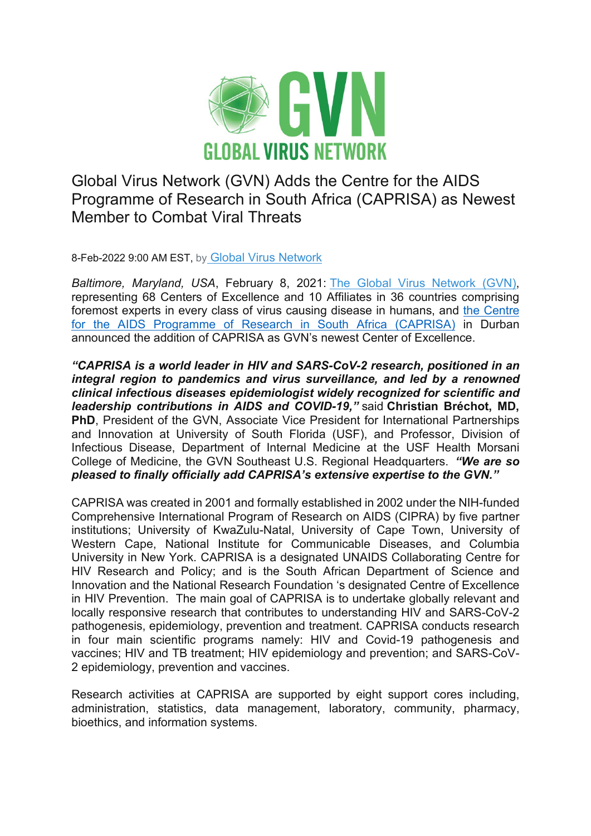

Global Virus Network (GVN) Adds the Centre for the AIDS Programme of Research in South Africa (CAPRISA) as Newest Member to Combat Viral Threats

8-Feb-2022 9:00 AM EST, by [Global Virus Network](https://www.newswise.com/institutions/newsroom/23163/)

*Baltimore, Maryland, USA*, February 8, 2021: [The Global Virus Network \(GVN\),](http://www.gvn.org/) representing 68 Centers of Excellence and 10 Affiliates in 36 countries comprising foremost experts in every class of virus causing disease in humans, and [the Centre](https://www.caprisa.org/)  [for the AIDS Programme of Research in South Africa \(CAPRISA\)](https://www.caprisa.org/) in Durban announced the addition of CAPRISA as GVN's newest Center of Excellence.

*"CAPRISA is a world leader in HIV and SARS-CoV-2 research, positioned in an integral region to pandemics and virus surveillance, and led by a renowned clinical infectious diseases epidemiologist widely recognized for scientific and leadership contributions in AIDS and COVID-19,"* said **Christian Bréchot, MD, PhD**, President of the GVN, Associate Vice President for International Partnerships and Innovation at University of South Florida (USF), and Professor, Division of Infectious Disease, Department of Internal Medicine at the USF Health Morsani College of Medicine, the GVN Southeast U.S. Regional Headquarters. *"We are so pleased to finally officially add CAPRISA's extensive expertise to the GVN."*

CAPRISA was created in 2001 and formally established in 2002 under the NIH-funded Comprehensive International Program of Research on AIDS (CIPRA) by five partner institutions; University of KwaZulu-Natal, University of Cape Town, University of Western Cape, National Institute for Communicable Diseases, and Columbia University in New York. CAPRISA is a designated UNAIDS Collaborating Centre for HIV Research and Policy; and is the South African Department of Science and Innovation and the National Research Foundation 's designated Centre of Excellence in HIV Prevention. The main goal of CAPRISA is to undertake globally relevant and locally responsive research that contributes to understanding HIV and SARS-CoV-2 pathogenesis, epidemiology, prevention and treatment. CAPRISA conducts research in four main scientific programs namely: HIV and Covid-19 pathogenesis and vaccines; HIV and TB treatment; HIV epidemiology and prevention; and SARS-CoV-2 epidemiology, prevention and vaccines.

Research activities at CAPRISA are supported by eight support cores including, administration, statistics, data management, laboratory, community, pharmacy, bioethics, and information systems.